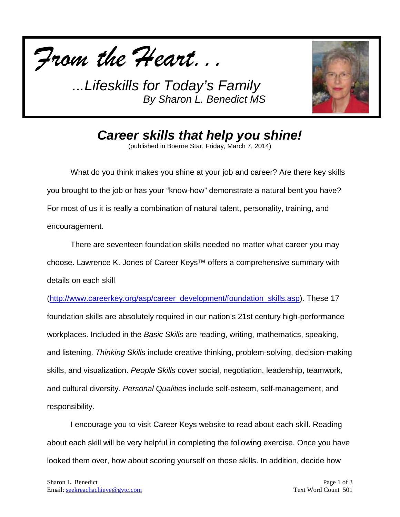



*Career skills that help you shine!*

(published in Boerne Star, Friday, March 7, 2014)

What do you think makes you shine at your job and career? Are there key skills you brought to the job or has your "know-how" demonstrate a natural bent you have? For most of us it is really a combination of natural talent, personality, training, and encouragement.

There are seventeen foundation skills needed no matter what career you may choose. Lawrence K. Jones of Career Keys™ offers a comprehensive summary with details on each skill

[\(http://www.careerkey.org/asp/career\\_development/foundation\\_skills.asp\)](http://www.careerkey.org/asp/career_development/foundation_skills.asp). These 17 foundation skills are absolutely required in our nation's 21st century high-performance workplaces. Included in the *Basic Skills* are reading, writing, mathematics, speaking, and listening. *Thinking Skills* include creative thinking, problem-solving, decision-making skills, and visualization. *People Skills* cover social, negotiation, leadership, teamwork, and cultural diversity. *Personal Qualities* include self-esteem, self-management, and responsibility.

I encourage you to visit Career Keys website to read about each skill. Reading about each skill will be very helpful in completing the following exercise. Once you have looked them over, how about scoring yourself on those skills. In addition, decide how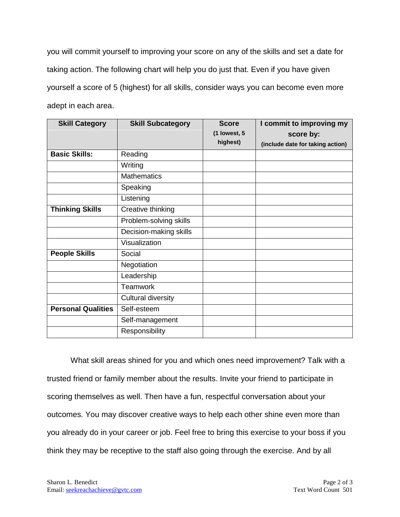you will commit yourself to improving your score on any of the skills and set a date for taking action. The following chart will help you do just that. Even if you have given yourself a score of 5 (highest) for all skills, consider ways you can become even more adept in each area.

| <b>Skill Category</b>     | <b>Skill Subcategory</b>  | <b>Score</b> | I commit to improving my         |
|---------------------------|---------------------------|--------------|----------------------------------|
|                           |                           | (1 lowest, 5 | score by:                        |
|                           |                           | highest)     | (include date for taking action) |
| <b>Basic Skills:</b>      | Reading                   |              |                                  |
|                           | Writing                   |              |                                  |
|                           | <b>Mathematics</b>        |              |                                  |
|                           | Speaking                  |              |                                  |
|                           | Listening                 |              |                                  |
| <b>Thinking Skills</b>    | Creative thinking         |              |                                  |
|                           | Problem-solving skills    |              |                                  |
|                           | Decision-making skills    |              |                                  |
|                           | Visualization             |              |                                  |
| <b>People Skills</b>      | Social                    |              |                                  |
|                           | Negotiation               |              |                                  |
|                           | Leadership                |              |                                  |
|                           | <b>Teamwork</b>           |              |                                  |
|                           | <b>Cultural diversity</b> |              |                                  |
| <b>Personal Qualities</b> | Self-esteem               |              |                                  |
|                           | Self-management           |              |                                  |
|                           | Responsibility            |              |                                  |

What skill areas shined for you and which ones need improvement? Talk with a trusted friend or family member about the results. Invite your friend to participate in scoring themselves as well. Then have a fun, respectful conversation about your outcomes. You may discover creative ways to help each other shine even more than you already do in your career or job. Feel free to bring this exercise to your boss if you think they may be receptive to the staff also going through the exercise. And by all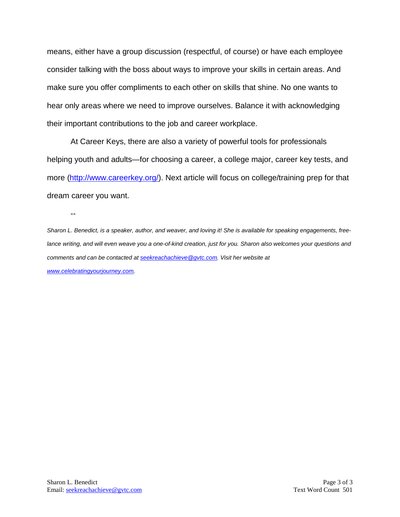means, either have a group discussion (respectful, of course) or have each employee consider talking with the boss about ways to improve your skills in certain areas. And make sure you offer compliments to each other on skills that shine. No one wants to hear only areas where we need to improve ourselves. Balance it with acknowledging their important contributions to the job and career workplace.

At Career Keys, there are also a variety of powerful tools for professionals helping youth and adults—for choosing a career, a college major, career key tests, and more [\(http://www.careerkey.org/\)](http://www.careerkey.org/). Next article will focus on college/training prep for that dream career you want.

--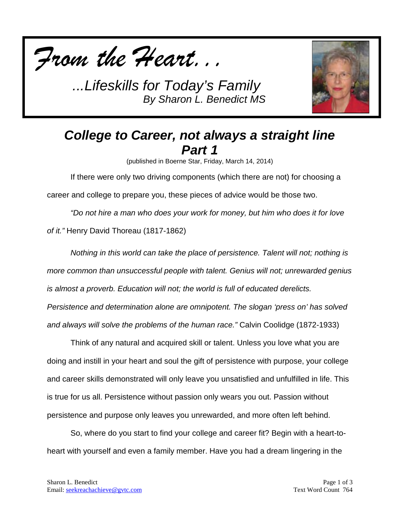



# *College to Career, not always a straight line Part 1*

(published in Boerne Star, Friday, March 14, 2014)

If there were only two driving components (which there are not) for choosing a career and college to prepare you, these pieces of advice would be those two.

*"Do not hire a man who does your work for money, but him who does it for love of it."* Henry David Thoreau (1817-1862)

*Nothing in this world can take the place of persistence. Talent will not; nothing is more common than unsuccessful people with talent. Genius will not; unrewarded genius is almost a proverb. Education will not; the world is full of educated derelicts. Persistence and determination alone are omnipotent. The slogan 'press on' has solved and always will solve the problems of the human race."* Calvin Coolidge (1872-1933)

Think of any natural and acquired skill or talent. Unless you love what you are doing and instill in your heart and soul the gift of persistence with purpose, your college and career skills demonstrated will only leave you unsatisfied and unfulfilled in life. This is true for us all. Persistence without passion only wears you out. Passion without persistence and purpose only leaves you unrewarded, and more often left behind.

So, where do you start to find your college and career fit? Begin with a heart-toheart with yourself and even a family member. Have you had a dream lingering in the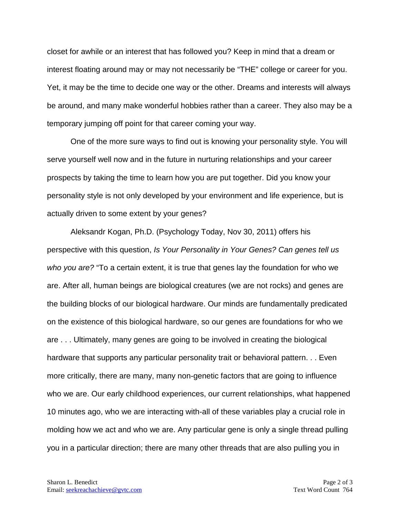closet for awhile or an interest that has followed you? Keep in mind that a dream or interest floating around may or may not necessarily be "THE" college or career for you. Yet, it may be the time to decide one way or the other. Dreams and interests will always be around, and many make wonderful hobbies rather than a career. They also may be a temporary jumping off point for that career coming your way.

One of the more sure ways to find out is knowing your personality style. You will serve yourself well now and in the future in nurturing relationships and your career prospects by taking the time to learn how you are put together. Did you know your personality style is not only developed by your environment and life experience, but is actually driven to some extent by your genes?

Aleksandr Kogan, Ph.D. (Psychology Today, Nov 30, 2011) offers his perspective with this question, *Is Your Personality in Your Genes? Can genes tell us who you are?* "To a certain extent, it is true that genes lay the foundation for who we are. After all, human beings are biological creatures (we are not rocks) and genes are the building blocks of our biological hardware. Our minds are fundamentally predicated on the existence of this biological hardware, so our genes are foundations for who we are . . . Ultimately, many genes are going to be involved in creating the biological hardware that supports any particular personality trait or behavioral pattern. . . Even more critically, there are many, many non-genetic factors that are going to influence who we are. Our early childhood experiences, our current relationships, what happened 10 minutes ago, who we are interacting with-all of these variables play a crucial role in molding how we act and who we are. Any particular gene is only a single thread pulling you in a particular direction; there are many other threads that are also pulling you in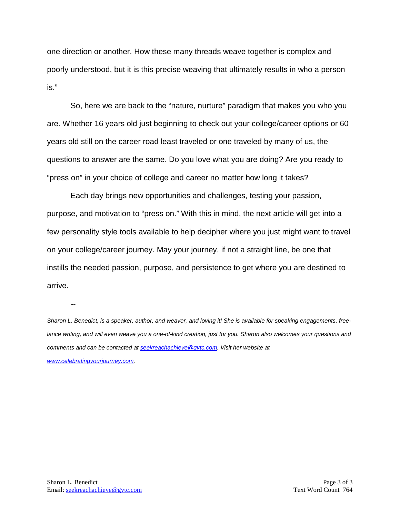one direction or another. How these many threads weave together is complex and poorly understood, but it is this precise weaving that ultimately results in who a person is."

So, here we are back to the "nature, nurture" paradigm that makes you who you are. Whether 16 years old just beginning to check out your college/career options or 60 years old still on the career road least traveled or one traveled by many of us, the questions to answer are the same. Do you love what you are doing? Are you ready to "press on" in your choice of college and career no matter how long it takes?

Each day brings new opportunities and challenges, testing your passion, purpose, and motivation to "press on." With this in mind, the next article will get into a few personality style tools available to help decipher where you just might want to travel on your college/career journey. May your journey, if not a straight line, be one that instills the needed passion, purpose, and persistence to get where you are destined to arrive.

--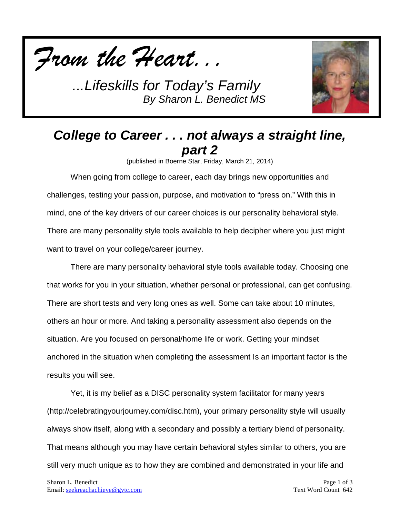



# *College to Career . . . not always a straight line, part 2*

(published in Boerne Star, Friday, March 21, 2014)

When going from college to career, each day brings new opportunities and challenges, testing your passion, purpose, and motivation to "press on." With this in mind, one of the key drivers of our career choices is our personality behavioral style. There are many personality style tools available to help decipher where you just might want to travel on your college/career journey.

There are many personality behavioral style tools available today. Choosing one that works for you in your situation, whether personal or professional, can get confusing. There are short tests and very long ones as well. Some can take about 10 minutes, others an hour or more. And taking a personality assessment also depends on the situation. Are you focused on personal/home life or work. Getting your mindset anchored in the situation when completing the assessment Is an important factor is the results you will see.

Yet, it is my belief as a DISC personality system facilitator for many years (http://celebratingyourjourney.com/disc.htm), your primary personality style will usually always show itself, along with a secondary and possibly a tertiary blend of personality. That means although you may have certain behavioral styles similar to others, you are still very much unique as to how they are combined and demonstrated in your life and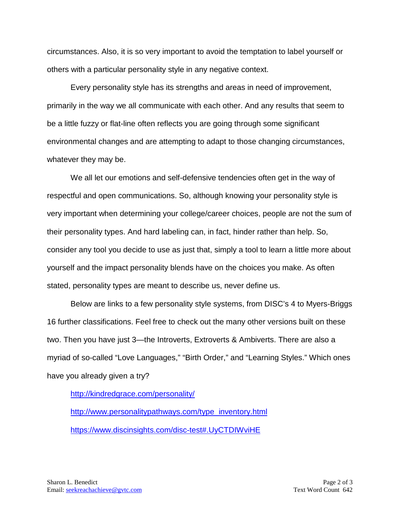circumstances. Also, it is so very important to avoid the temptation to label yourself or others with a particular personality style in any negative context.

Every personality style has its strengths and areas in need of improvement, primarily in the way we all communicate with each other. And any results that seem to be a little fuzzy or flat-line often reflects you are going through some significant environmental changes and are attempting to adapt to those changing circumstances, whatever they may be.

We all let our emotions and self-defensive tendencies often get in the way of respectful and open communications. So, although knowing your personality style is very important when determining your college/career choices, people are not the sum of their personality types. And hard labeling can, in fact, hinder rather than help. So, consider any tool you decide to use as just that, simply a tool to learn a little more about yourself and the impact personality blends have on the choices you make. As often stated, personality types are meant to describe us, never define us.

Below are links to a few personality style systems, from DISC's 4 to Myers-Briggs 16 further classifications. Feel free to check out the many other versions built on these two. Then you have just 3—the Introverts, Extroverts & Ambiverts. There are also a myriad of so-called "Love Languages," "Birth Order," and "Learning Styles." Which ones have you already given a try?

<http://kindredgrace.com/personality/>

[http://www.personalitypathways.com/type\\_inventory.html](http://www.personalitypathways.com/type_inventory.html) <https://www.discinsights.com/disc-test#.UyCTDIWviHE>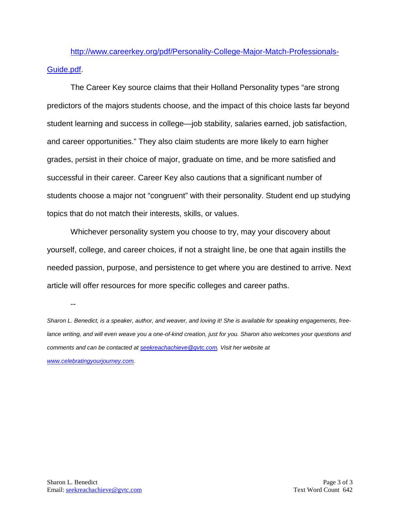[http://www.careerkey.org/pdf/Personality-College-Major-Match-Professionals-](http://www.careerkey.org/pdf/Personality-College-Major-Match-Professionals-Guide.pdf)[Guide.pdf.](http://www.careerkey.org/pdf/Personality-College-Major-Match-Professionals-Guide.pdf)

The Career Key source claims that their Holland Personality types "are strong predictors of the majors students choose, and the impact of this choice lasts far beyond student learning and success in college—job stability, salaries earned, job satisfaction, and career opportunities." They also claim students are more likely to earn higher grades, persist in their choice of major, graduate on time, and be more satisfied and successful in their career. Career Key also cautions that a significant number of students choose a major not "congruent" with their personality. Student end up studying topics that do not match their interests, skills, or values.

Whichever personality system you choose to try, may your discovery about yourself, college, and career choices, if not a straight line, be one that again instills the needed passion, purpose, and persistence to get where you are destined to arrive. Next article will offer resources for more specific colleges and career paths.

--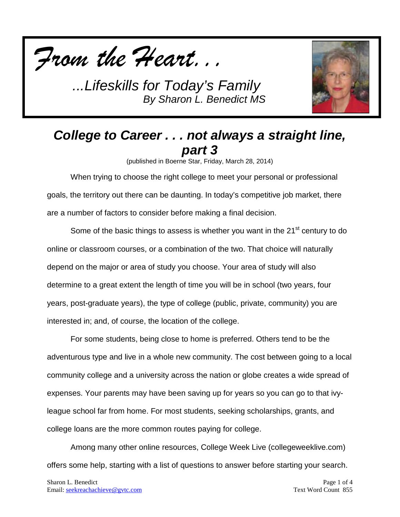



# *College to Career . . . not always a straight line, part 3*

(published in Boerne Star, Friday, March 28, 2014)

When trying to choose the right college to meet your personal or professional goals, the territory out there can be daunting. In today's competitive job market, there are a number of factors to consider before making a final decision.

Some of the basic things to assess is whether you want in the 21<sup>st</sup> century to do online or classroom courses, or a combination of the two. That choice will naturally depend on the major or area of study you choose. Your area of study will also determine to a great extent the length of time you will be in school (two years, four years, post-graduate years), the type of college (public, private, community) you are interested in; and, of course, the location of the college.

For some students, being close to home is preferred. Others tend to be the adventurous type and live in a whole new community. The cost between going to a local community college and a university across the nation or globe creates a wide spread of expenses. Your parents may have been saving up for years so you can go to that ivyleague school far from home. For most students, seeking scholarships, grants, and college loans are the more common routes paying for college.

Among many other online resources, College Week Live (collegeweeklive.com) offers some help, starting with a list of questions to answer before starting your search.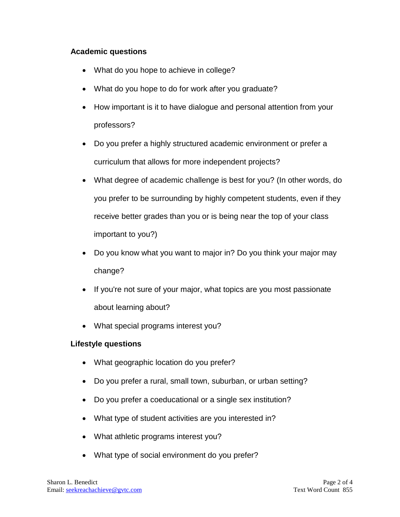### **Academic questions**

- What do you hope to achieve in college?
- What do you hope to do for work after you graduate?
- How important is it to have dialogue and personal attention from your professors?
- Do you prefer a highly structured academic environment or prefer a curriculum that allows for more independent projects?
- What degree of academic challenge is best for you? (In other words, do you prefer to be surrounding by highly competent students, even if they receive better grades than you or is being near the top of your class important to you?)
- Do you know what you want to major in? Do you think your major may change?
- If you're not sure of your major, what topics are you most passionate about learning about?
- What special programs interest you?

### **Lifestyle questions**

- What geographic location do you prefer?
- Do you prefer a rural, small town, suburban, or urban setting?
- Do you prefer a coeducational or a single sex institution?
- What type of student activities are you interested in?
- What athletic programs interest you?
- What type of social environment do you prefer?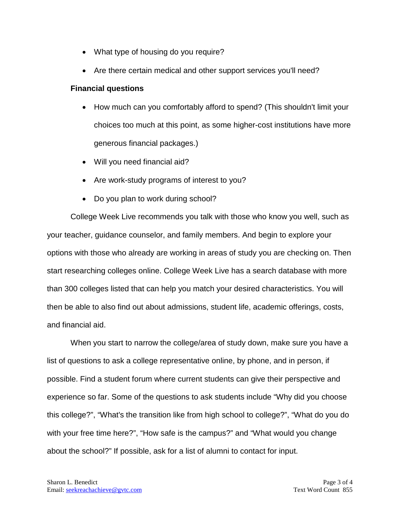- What type of housing do you require?
- Are there certain medical and other support services you'll need?

#### **Financial questions**

- How much can you comfortably afford to spend? (This shouldn't limit your choices too much at this point, as some higher-cost institutions have more generous financial packages.)
- Will you need financial aid?
- Are work-study programs of interest to you?
- Do you plan to work during school?

College Week Live recommends you talk with those who know you well, such as your teacher, guidance counselor, and family members. And begin to explore your options with those who already are working in areas of study you are checking on. Then start researching colleges online. College Week Live has a search database with more than 300 colleges listed that can help you match your desired characteristics. You will then be able to also find out about admissions, student life, academic offerings, costs, and financial aid.

When you start to narrow the college/area of study down, make sure you have a list of questions to ask a college representative online, by phone, and in person, if possible. Find a student forum where current students can give their perspective and experience so far. Some of the questions to ask students include "Why did you choose this college?", "What's the transition like from high school to college?", "What do you do with your free time here?", "How safe is the campus?" and "What would you change about the school?" If possible, ask for a list of alumni to contact for input.